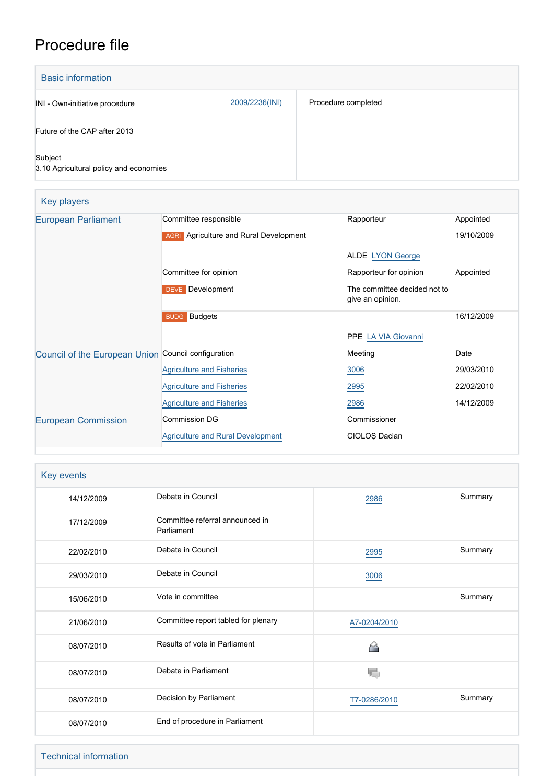# Procedure file

| <b>Basic information</b>                          |                |                     |
|---------------------------------------------------|----------------|---------------------|
| INI - Own-initiative procedure                    | 2009/2236(INI) | Procedure completed |
| Future of the CAP after 2013                      |                |                     |
| Subject<br>3.10 Agricultural policy and economies |                |                     |

| Key players                                         |                                               |                                                  |            |
|-----------------------------------------------------|-----------------------------------------------|--------------------------------------------------|------------|
| <b>European Parliament</b>                          | Committee responsible                         | Rapporteur                                       | Appointed  |
|                                                     | <b>AGRI</b> Agriculture and Rural Development |                                                  | 19/10/2009 |
|                                                     |                                               | <b>ALDE LYON George</b>                          |            |
|                                                     | Committee for opinion                         | Rapporteur for opinion                           | Appointed  |
|                                                     | <b>DEVE</b> Development                       | The committee decided not to<br>give an opinion. |            |
|                                                     | <b>BUDG</b> Budgets                           |                                                  | 16/12/2009 |
|                                                     |                                               | PPE LA VIA Giovanni                              |            |
| Council of the European Union Council configuration |                                               | Meeting                                          | Date       |
|                                                     | <b>Agriculture and Fisheries</b>              | 3006                                             | 29/03/2010 |
|                                                     | <b>Agriculture and Fisheries</b>              | 2995                                             | 22/02/2010 |
|                                                     | <b>Agriculture and Fisheries</b>              | 2986                                             | 14/12/2009 |
| <b>European Commission</b>                          | <b>Commission DG</b>                          | Commissioner                                     |            |
|                                                     | <b>Agriculture and Rural Development</b>      | CIOLOS Dacian                                    |            |

| Key events |                                               |              |         |
|------------|-----------------------------------------------|--------------|---------|
| 14/12/2009 | Debate in Council                             | 2986         | Summary |
| 17/12/2009 | Committee referral announced in<br>Parliament |              |         |
| 22/02/2010 | Debate in Council                             | 2995         | Summary |
| 29/03/2010 | Debate in Council                             | 3006         |         |
| 15/06/2010 | Vote in committee                             |              | Summary |
| 21/06/2010 | Committee report tabled for plenary           | A7-0204/2010 |         |
| 08/07/2010 | Results of vote in Parliament                 | ◠            |         |
| 08/07/2010 | Debate in Parliament                          | V.           |         |
| 08/07/2010 | Decision by Parliament                        | T7-0286/2010 | Summary |
| 08/07/2010 | End of procedure in Parliament                |              |         |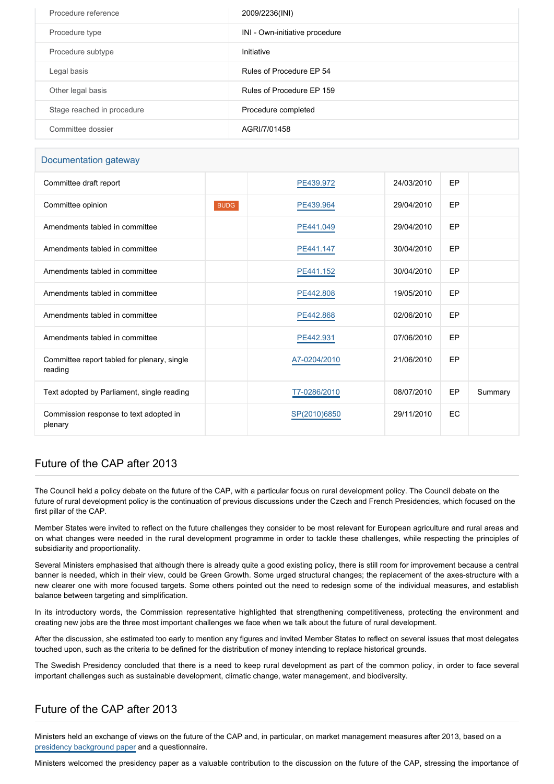| Procedure reference        | 2009/2236(INI)                 |
|----------------------------|--------------------------------|
| Procedure type             | INI - Own-initiative procedure |
| Procedure subtype          | Initiative                     |
| Legal basis                | Rules of Procedure EP 54       |
| Other legal basis          | Rules of Procedure EP 159      |
| Stage reached in procedure | Procedure completed            |
| Committee dossier          | AGRI/7/01458                   |

#### Documentation gateway

| Committee draft report                                 |             | PE439.972    | 24/03/2010 | EP |         |
|--------------------------------------------------------|-------------|--------------|------------|----|---------|
| Committee opinion                                      | <b>BUDG</b> | PE439.964    | 29/04/2010 | EP |         |
| Amendments tabled in committee                         |             | PE441.049    | 29/04/2010 | EP |         |
| Amendments tabled in committee                         |             | PE441.147    | 30/04/2010 | EP |         |
| Amendments tabled in committee                         |             | PE441.152    | 30/04/2010 | EP |         |
| Amendments tabled in committee                         |             | PE442.808    | 19/05/2010 | EP |         |
| Amendments tabled in committee                         |             | PE442.868    | 02/06/2010 | EP |         |
| Amendments tabled in committee                         |             | PE442.931    | 07/06/2010 | EP |         |
| Committee report tabled for plenary, single<br>reading |             | A7-0204/2010 | 21/06/2010 | EP |         |
| Text adopted by Parliament, single reading             |             | T7-0286/2010 | 08/07/2010 | EP | Summary |
| Commission response to text adopted in<br>plenary      |             | SP(2010)6850 | 29/11/2010 | EC |         |

# Future of the CAP after 2013

The Council held a policy debate on the future of the CAP, with a particular focus on rural development policy. The Council debate on the future of rural development policy is the continuation of previous discussions under the Czech and French Presidencies, which focused on the first pillar of the CAP.

Member States were invited to reflect on the future challenges they consider to be most relevant for European agriculture and rural areas and on what changes were needed in the rural development programme in order to tackle these challenges, while respecting the principles of subsidiarity and proportionality.

Several Ministers emphasised that although there is already quite a good existing policy, there is still room for improvement because a central banner is needed, which in their view, could be Green Growth. Some urged structural changes; the replacement of the axes-structure with a new clearer one with more focused targets. Some others pointed out the need to redesign some of the individual measures, and establish balance between targeting and simplification.

In its introductory words, the Commission representative highlighted that strengthening competitiveness, protecting the environment and creating new jobs are the three most important challenges we face when we talk about the future of rural development.

After the discussion, she estimated too early to mention any figures and invited Member States to reflect on several issues that most delegates touched upon, such as the criteria to be defined for the distribution of money intending to replace historical grounds.

The Swedish Presidency concluded that there is a need to keep rural development as part of the common policy, in order to face several important challenges such as sustainable development, climatic change, water management, and biodiversity.

# Future of the CAP after 2013

Ministers held an exchange of views on the future of the CAP and, in particular, on market management measures after 2013, based on a [presidency background paper](http://register.consilium.europa.eu/pdf/en/10/st06/st06063.en10.pdf) and a questionnaire.

Ministers welcomed the presidency paper as a valuable contribution to the discussion on the future of the CAP, stressing the importance of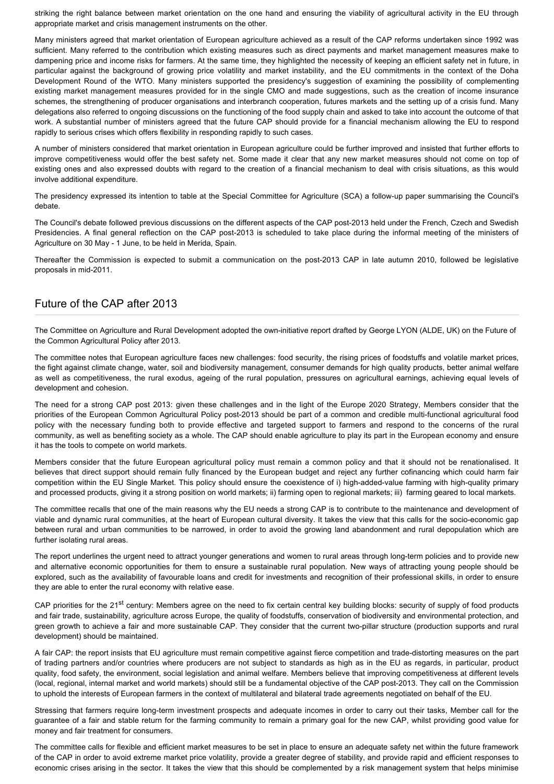striking the right balance between market orientation on the one hand and ensuring the viability of agricultural activity in the EU through appropriate market and crisis management instruments on the other.

Many ministers agreed that market orientation of European agriculture achieved as a result of the CAP reforms undertaken since 1992 was sufficient. Many referred to the contribution which existing measures such as direct payments and market management measures make to dampening price and income risks for farmers. At the same time, they highlighted the necessity of keeping an efficient safety net in future, in particular against the background of growing price volatility and market instability, and the EU commitments in the context of the Doha Development Round of the WTO. Many ministers supported the presidency's suggestion of examining the possibility of complementing existing market management measures provided for in the single CMO and made suggestions, such as the creation of income insurance schemes, the strengthening of producer organisations and interbranch cooperation, futures markets and the setting up of a crisis fund. Many delegations also referred to ongoing discussions on the functioning of the food supply chain and asked to take into account the outcome of that work. A substantial number of ministers agreed that the future CAP should provide for a financial mechanism allowing the EU to respond rapidly to serious crises which offers flexibility in responding rapidly to such cases.

A number of ministers considered that market orientation in European agriculture could be further improved and insisted that further efforts to improve competitiveness would offer the best safety net. Some made it clear that any new market measures should not come on top of existing ones and also expressed doubts with regard to the creation of a financial mechanism to deal with crisis situations, as this would involve additional expenditure.

The presidency expressed its intention to table at the Special Committee for Agriculture (SCA) a follow-up paper summarising the Council's debate.

The Council's debate followed previous discussions on the different aspects of the CAP post-2013 held under the French, Czech and Swedish Presidencies. A final general reflection on the CAP post-2013 is scheduled to take place during the informal meeting of the ministers of Agriculture on 30 May - 1 June, to be held in Merida, Spain.

Thereafter the Commission is expected to submit a communication on the post-2013 CAP in late autumn 2010, followed be legislative proposals in mid-2011.

# Future of the CAP after 2013

The Committee on Agriculture and Rural Development adopted the own-initiative report drafted by George LYON (ALDE, UK) on the Future of the Common Agricultural Policy after 2013.

The committee notes that European agriculture faces new challenges: food security, the rising prices of foodstuffs and volatile market prices, the fight against climate change, water, soil and biodiversity management, consumer demands for high quality products, better animal welfare as well as competitiveness, the rural exodus, ageing of the rural population, pressures on agricultural earnings, achieving equal levels of development and cohesion.

The need for a strong CAP post 2013: given these challenges and in the light of the Europe 2020 Strategy, Members consider that the priorities of the European Common Agricultural Policy post-2013 should be part of a common and credible multi-functional agricultural food policy with the necessary funding both to provide effective and targeted support to farmers and respond to the concerns of the rural community, as well as benefiting society as a whole. The CAP should enable agriculture to play its part in the European economy and ensure it has the tools to compete on world markets.

Members consider that the future European agricultural policy must remain a common policy and that it should not be renationalised. It believes that direct support should remain fully financed by the European budget and reject any further cofinancing which could harm fair competition within the EU Single Market. This policy should ensure the coexistence of i) high-added-value farming with high-quality primary and processed products, giving it a strong position on world markets; ii) farming open to regional markets; iii) farming geared to local markets.

The committee recalls that one of the main reasons why the EU needs a strong CAP is to contribute to the maintenance and development of viable and dynamic rural communities, at the heart of European cultural diversity. It takes the view that this calls for the socio-economic gap between rural and urban communities to be narrowed, in order to avoid the growing land abandonment and rural depopulation which are further isolating rural areas.

The report underlines the urgent need to attract younger generations and women to rural areas through long-term policies and to provide new and alternative economic opportunities for them to ensure a sustainable rural population. New ways of attracting young people should be explored, such as the availability of favourable loans and credit for investments and recognition of their professional skills, in order to ensure they are able to enter the rural economy with relative ease.

CAP priorities for the 21<sup>st</sup> century: Members agree on the need to fix certain central key building blocks: security of supply of food products and fair trade, sustainability, agriculture across Europe, the quality of foodstuffs, conservation of biodiversity and environmental protection, and green growth to achieve a fair and more sustainable CAP. They consider that the current two-pillar structure (production supports and rural development) should be maintained.

A fair CAP: the report insists that EU agriculture must remain competitive against fierce competition and trade-distorting measures on the part of trading partners and/or countries where producers are not subject to standards as high as in the EU as regards, in particular, product quality, food safety, the environment, social legislation and animal welfare. Members believe that improving competitiveness at different levels (local, regional, internal market and world markets) should still be a fundamental objective of the CAP post-2013. They call on the Commission to uphold the interests of European farmers in the context of multilateral and bilateral trade agreements negotiated on behalf of the EU.

Stressing that farmers require long-term investment prospects and adequate incomes in order to carry out their tasks, Member call for the guarantee of a fair and stable return for the farming community to remain a primary goal for the new CAP, whilst providing good value for money and fair treatment for consumers.

The committee calls for flexible and efficient market measures to be set in place to ensure an adequate safety net within the future framework of the CAP in order to avoid extreme market price volatility, provide a greater degree of stability, and provide rapid and efficient responses to economic crises arising in the sector. It takes the view that this should be complemented by a risk management system that helps minimise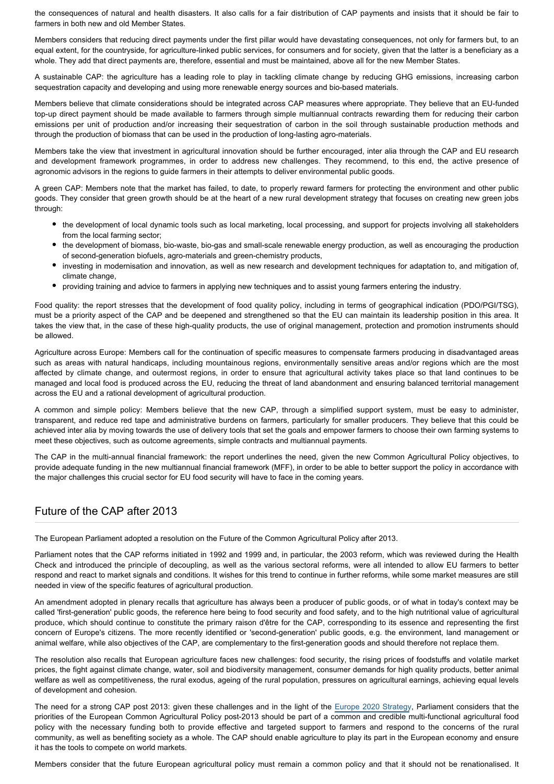the consequences of natural and health disasters. It also calls for a fair distribution of CAP payments and insists that it should be fair to farmers in both new and old Member States.

Members considers that reducing direct payments under the first pillar would have devastating consequences, not only for farmers but, to an equal extent, for the countryside, for agriculture-linked public services, for consumers and for society, given that the latter is a beneficiary as a whole. They add that direct payments are, therefore, essential and must be maintained, above all for the new Member States.

A sustainable CAP: the agriculture has a leading role to play in tackling climate change by reducing GHG emissions, increasing carbon sequestration capacity and developing and using more renewable energy sources and bio-based materials.

Members believe that climate considerations should be integrated across CAP measures where appropriate. They believe that an EU-funded top-up direct payment should be made available to farmers through simple multiannual contracts rewarding them for reducing their carbon emissions per unit of production and/or increasing their sequestration of carbon in the soil through sustainable production methods and through the production of biomass that can be used in the production of long-lasting agro-materials.

Members take the view that investment in agricultural innovation should be further encouraged, inter alia through the CAP and EU research and development framework programmes, in order to address new challenges. They recommend, to this end, the active presence of agronomic advisors in the regions to guide farmers in their attempts to deliver environmental public goods.

A green CAP: Members note that the market has failed, to date, to properly reward farmers for protecting the environment and other public goods. They consider that green growth should be at the heart of a new rural development strategy that focuses on creating new green jobs through:

- the development of local dynamic tools such as local marketing, local processing, and support for projects involving all stakeholders from the local farming sector;
- the development of biomass, bio-waste, bio-gas and small-scale renewable energy production, as well as encouraging the production of second-generation biofuels, agro-materials and green-chemistry products,
- investing in modernisation and innovation, as well as new research and development techniques for adaptation to, and mitigation of, climate change,
- providing training and advice to farmers in applying new techniques and to assist young farmers entering the industry.

Food quality: the report stresses that the development of food quality policy, including in terms of geographical indication (PDO/PGI/TSG), must be a priority aspect of the CAP and be deepened and strengthened so that the EU can maintain its leadership position in this area. It takes the view that, in the case of these high-quality products, the use of original management, protection and promotion instruments should be allowed.

Agriculture across Europe: Members call for the continuation of specific measures to compensate farmers producing in disadvantaged areas such as areas with natural handicaps, including mountainous regions, environmentally sensitive areas and/or regions which are the most affected by climate change, and outermost regions, in order to ensure that agricultural activity takes place so that land continues to be managed and local food is produced across the EU, reducing the threat of land abandonment and ensuring balanced territorial management across the EU and a rational development of agricultural production.

A common and simple policy: Members believe that the new CAP, through a simplified support system, must be easy to administer, transparent, and reduce red tape and administrative burdens on farmers, particularly for smaller producers. They believe that this could be achieved inter alia by moving towards the use of delivery tools that set the goals and empower farmers to choose their own farming systems to meet these objectives, such as outcome agreements, simple contracts and multiannual payments.

The CAP in the multi-annual financial framework: the report underlines the need, given the new Common Agricultural Policy objectives, to provide adequate funding in the new multiannual financial framework (MFF), in order to be able to better support the policy in accordance with the major challenges this crucial sector for EU food security will have to face in the coming years.

# Future of the CAP after 2013

The European Parliament adopted a resolution on the Future of the Common Agricultural Policy after 2013.

Parliament notes that the CAP reforms initiated in 1992 and 1999 and, in particular, the 2003 reform, which was reviewed during the Health Check and introduced the principle of decoupling, as well as the various sectoral reforms, were all intended to allow EU farmers to better respond and react to market signals and conditions. It wishes for this trend to continue in further reforms, while some market measures are still needed in view of the specific features of agricultural production.

An amendment adopted in plenary recalls that agriculture has always been a producer of public goods, or of what in today's context may be called 'first-generation' public goods, the reference here being to food security and food safety, and to the high nutritional value of agricultural produce, which should continue to constitute the primary raison d'être for the CAP, corresponding to its essence and representing the first concern of Europe's citizens. The more recently identified or 'second-generation' public goods, e.g. the environment, land management or animal welfare, while also objectives of the CAP, are complementary to the first-generation goods and should therefore not replace them.

The resolution also recalls that European agriculture faces new challenges: food security, the rising prices of foodstuffs and volatile market prices, the fight against climate change, water, soil and biodiversity management, consumer demands for high quality products, better animal welfare as well as competitiveness, the rural exodus, ageing of the rural population, pressures on agricultural earnings, achieving equal levels of development and cohesion.

The need for a strong CAP post 2013: given these challenges and in the light of the [Europe 2020 Strategy](http://eur-lex.europa.eu/LexUriServ/LexUriServ.do?uri=COM:2010:2020:FIN:EN:PDF), Parliament considers that the priorities of the European Common Agricultural Policy post-2013 should be part of a common and credible multi-functional agricultural food policy with the necessary funding both to provide effective and targeted support to farmers and respond to the concerns of the rural community, as well as benefiting society as a whole. The CAP should enable agriculture to play its part in the European economy and ensure it has the tools to compete on world markets.

Members consider that the future European agricultural policy must remain a common policy and that it should not be renationalised. It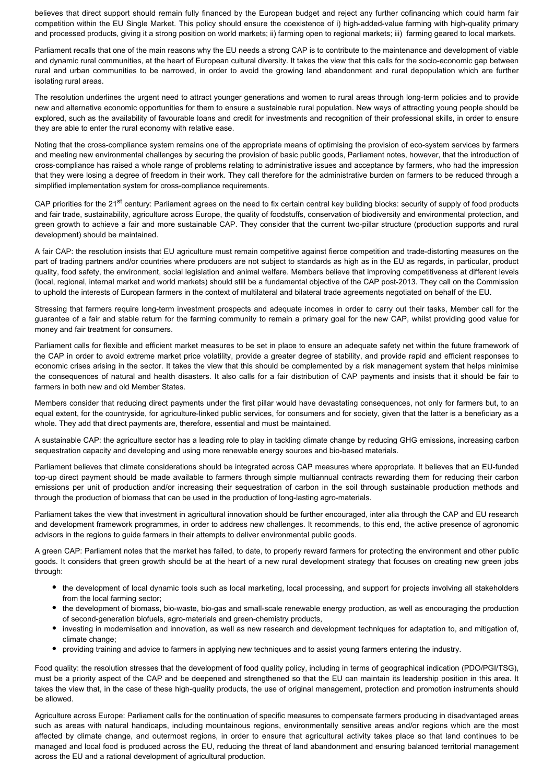believes that direct support should remain fully financed by the European budget and reject any further cofinancing which could harm fair competition within the EU Single Market. This policy should ensure the coexistence of i) high-added-value farming with high-quality primary and processed products, giving it a strong position on world markets; ii) farming open to regional markets; iii) farming geared to local markets.

Parliament recalls that one of the main reasons why the EU needs a strong CAP is to contribute to the maintenance and development of viable and dynamic rural communities, at the heart of European cultural diversity. It takes the view that this calls for the socio-economic gap between rural and urban communities to be narrowed, in order to avoid the growing land abandonment and rural depopulation which are further isolating rural areas.

The resolution underlines the urgent need to attract younger generations and women to rural areas through long-term policies and to provide new and alternative economic opportunities for them to ensure a sustainable rural population. New ways of attracting young people should be explored, such as the availability of favourable loans and credit for investments and recognition of their professional skills, in order to ensure they are able to enter the rural economy with relative ease.

Noting that the cross-compliance system remains one of the appropriate means of optimising the provision of eco-system services by farmers and meeting new environmental challenges by securing the provision of basic public goods, Parliament notes, however, that the introduction of cross-compliance has raised a whole range of problems relating to administrative issues and acceptance by farmers, who had the impression that they were losing a degree of freedom in their work. They call therefore for the administrative burden on farmers to be reduced through a simplified implementation system for cross-compliance requirements.

CAP priorities for the 21<sup>st</sup> century: Parliament agrees on the need to fix certain central key building blocks: security of supply of food products and fair trade, sustainability, agriculture across Europe, the quality of foodstuffs, conservation of biodiversity and environmental protection, and green growth to achieve a fair and more sustainable CAP. They consider that the current two-pillar structure (production supports and rural development) should be maintained.

A fair CAP: the resolution insists that EU agriculture must remain competitive against fierce competition and trade-distorting measures on the part of trading partners and/or countries where producers are not subject to standards as high as in the EU as regards, in particular, product quality, food safety, the environment, social legislation and animal welfare. Members believe that improving competitiveness at different levels (local, regional, internal market and world markets) should still be a fundamental objective of the CAP post-2013. They call on the Commission to uphold the interests of European farmers in the context of multilateral and bilateral trade agreements negotiated on behalf of the EU.

Stressing that farmers require long-term investment prospects and adequate incomes in order to carry out their tasks, Member call for the guarantee of a fair and stable return for the farming community to remain a primary goal for the new CAP, whilst providing good value for money and fair treatment for consumers.

Parliament calls for flexible and efficient market measures to be set in place to ensure an adequate safety net within the future framework of the CAP in order to avoid extreme market price volatility, provide a greater degree of stability, and provide rapid and efficient responses to economic crises arising in the sector. It takes the view that this should be complemented by a risk management system that helps minimise the consequences of natural and health disasters. It also calls for a fair distribution of CAP payments and insists that it should be fair to farmers in both new and old Member States.

Members consider that reducing direct payments under the first pillar would have devastating consequences, not only for farmers but, to an equal extent, for the countryside, for agriculture-linked public services, for consumers and for society, given that the latter is a beneficiary as a whole. They add that direct payments are, therefore, essential and must be maintained.

A sustainable CAP: the agriculture sector has a leading role to play in tackling climate change by reducing GHG emissions, increasing carbon sequestration capacity and developing and using more renewable energy sources and bio-based materials.

Parliament believes that climate considerations should be integrated across CAP measures where appropriate. It believes that an EU-funded top-up direct payment should be made available to farmers through simple multiannual contracts rewarding them for reducing their carbon emissions per unit of production and/or increasing their sequestration of carbon in the soil through sustainable production methods and through the production of biomass that can be used in the production of long-lasting agro-materials.

Parliament takes the view that investment in agricultural innovation should be further encouraged, inter alia through the CAP and EU research and development framework programmes, in order to address new challenges. It recommends, to this end, the active presence of agronomic advisors in the regions to guide farmers in their attempts to deliver environmental public goods.

A green CAP: Parliament notes that the market has failed, to date, to properly reward farmers for protecting the environment and other public goods. It considers that green growth should be at the heart of a new rural development strategy that focuses on creating new green jobs through:

- the development of local dynamic tools such as local marketing, local processing, and support for projects involving all stakeholders from the local farming sector;
- the development of biomass, bio-waste, bio-gas and small-scale renewable energy production, as well as encouraging the production of second-generation biofuels, agro-materials and green-chemistry products,
- investing in modernisation and innovation, as well as new research and development techniques for adaptation to, and mitigation of, climate change;
- $\bullet$ providing training and advice to farmers in applying new techniques and to assist young farmers entering the industry.

Food quality: the resolution stresses that the development of food quality policy, including in terms of geographical indication (PDO/PGI/TSG), must be a priority aspect of the CAP and be deepened and strengthened so that the EU can maintain its leadership position in this area. It takes the view that, in the case of these high-quality products, the use of original management, protection and promotion instruments should be allowed.

Agriculture across Europe: Parliament calls for the continuation of specific measures to compensate farmers producing in disadvantaged areas such as areas with natural handicaps, including mountainous regions, environmentally sensitive areas and/or regions which are the most affected by climate change, and outermost regions, in order to ensure that agricultural activity takes place so that land continues to be managed and local food is produced across the EU, reducing the threat of land abandonment and ensuring balanced territorial management across the EU and a rational development of agricultural production.